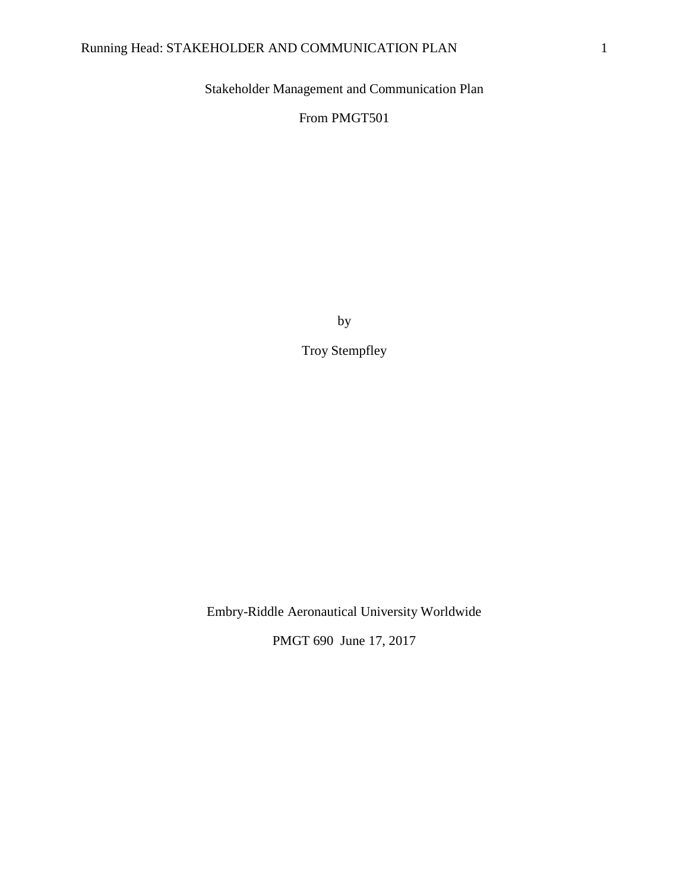Stakeholder Management and Communication Plan

From PMGT501

by

Troy Stempfley

Embry-Riddle Aeronautical University Worldwide

PMGT 690 June 17, 2017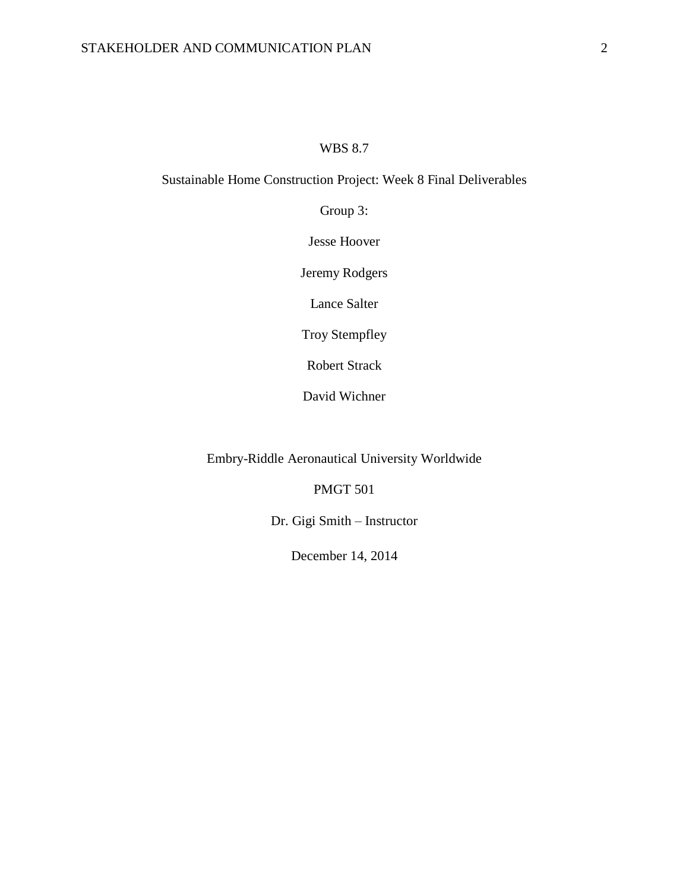# WBS 8.7

# Sustainable Home Construction Project: Week 8 Final Deliverables

Group 3:

Jesse Hoover

Jeremy Rodgers

Lance Salter

Troy Stempfley

Robert Strack

David Wichner

Embry-Riddle Aeronautical University Worldwide

PMGT 501

Dr. Gigi Smith – Instructor

December 14, 2014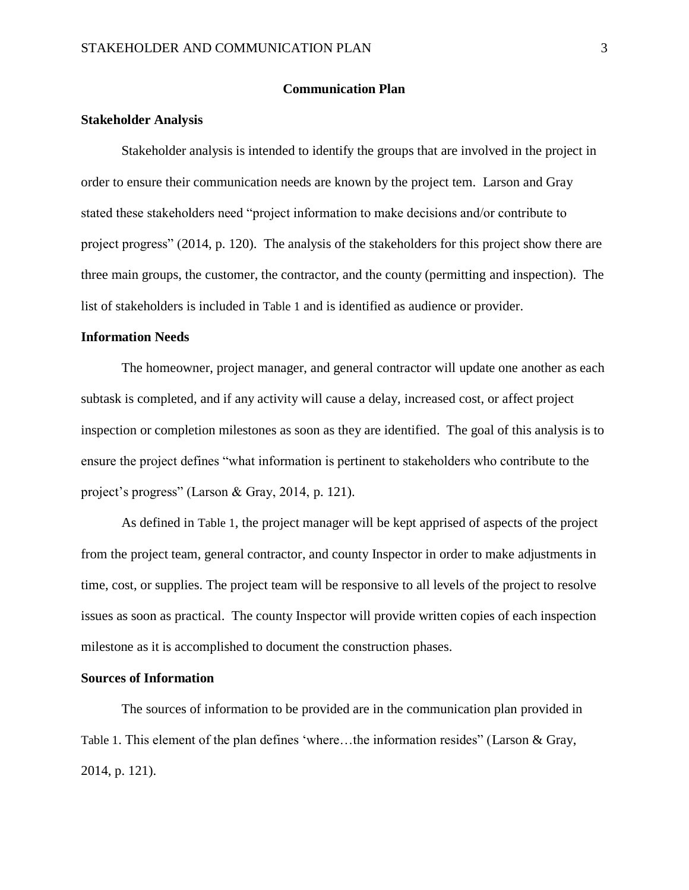### **Communication Plan**

## **Stakeholder Analysis**

Stakeholder analysis is intended to identify the groups that are involved in the project in order to ensure their communication needs are known by the project tem. Larson and Gray stated these stakeholders need "project information to make decisions and/or contribute to project progress" (2014, p. 120). The analysis of the stakeholders for this project show there are three main groups, the customer, the contractor, and the county (permitting and inspection). The list of stakeholders is included in [Table 1](#page-4-0) and is identified as audience or provider.

### **Information Needs**

The homeowner, project manager, and general contractor will update one another as each subtask is completed, and if any activity will cause a delay, increased cost, or affect project inspection or completion milestones as soon as they are identified. The goal of this analysis is to ensure the project defines "what information is pertinent to stakeholders who contribute to the project's progress" (Larson & Gray, 2014, p. 121).

As defined in [Table 1](#page-4-0), the project manager will be kept apprised of aspects of the project from the project team, general contractor, and county Inspector in order to make adjustments in time, cost, or supplies. The project team will be responsive to all levels of the project to resolve issues as soon as practical. The county Inspector will provide written copies of each inspection milestone as it is accomplished to document the construction phases.

### **Sources of Information**

The sources of information to be provided are in the communication plan provided in [Table 1](#page-4-0). This element of the plan defines 'where...the information resides" (Larson & Gray, 2014, p. 121).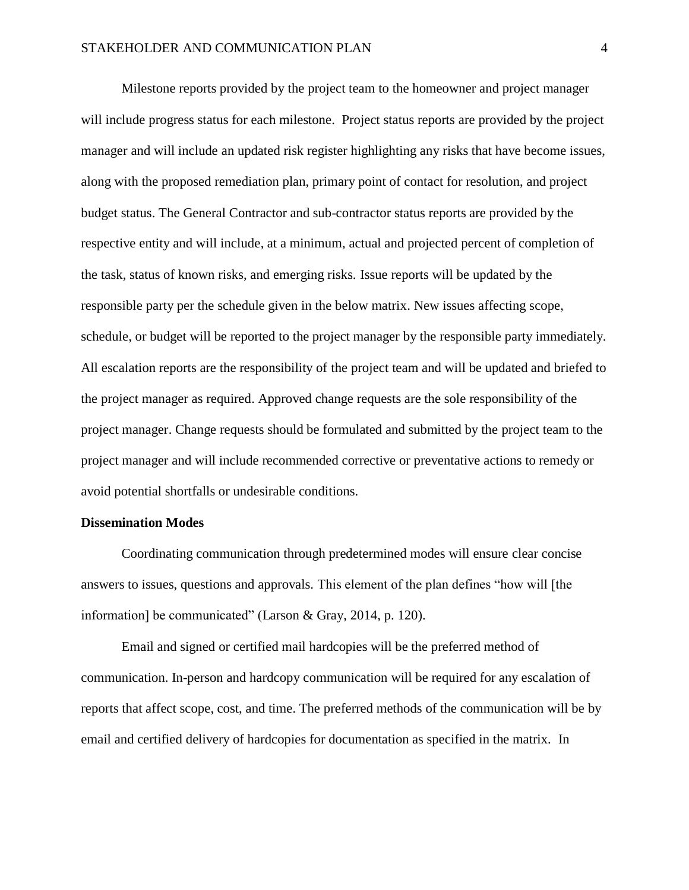Milestone reports provided by the project team to the homeowner and project manager will include progress status for each milestone. Project status reports are provided by the project manager and will include an updated risk register highlighting any risks that have become issues, along with the proposed remediation plan, primary point of contact for resolution, and project budget status. The General Contractor and sub-contractor status reports are provided by the respective entity and will include, at a minimum, actual and projected percent of completion of the task, status of known risks, and emerging risks. Issue reports will be updated by the responsible party per the schedule given in the below matrix. New issues affecting scope, schedule, or budget will be reported to the project manager by the responsible party immediately. All escalation reports are the responsibility of the project team and will be updated and briefed to the project manager as required. Approved change requests are the sole responsibility of the project manager. Change requests should be formulated and submitted by the project team to the project manager and will include recommended corrective or preventative actions to remedy or avoid potential shortfalls or undesirable conditions.

### **Dissemination Modes**

Coordinating communication through predetermined modes will ensure clear concise answers to issues, questions and approvals. This element of the plan defines "how will [the information] be communicated" (Larson & Gray, 2014, p. 120).

Email and signed or certified mail hardcopies will be the preferred method of communication. In-person and hardcopy communication will be required for any escalation of reports that affect scope, cost, and time. The preferred methods of the communication will be by email and certified delivery of hardcopies for documentation as specified in the matrix. In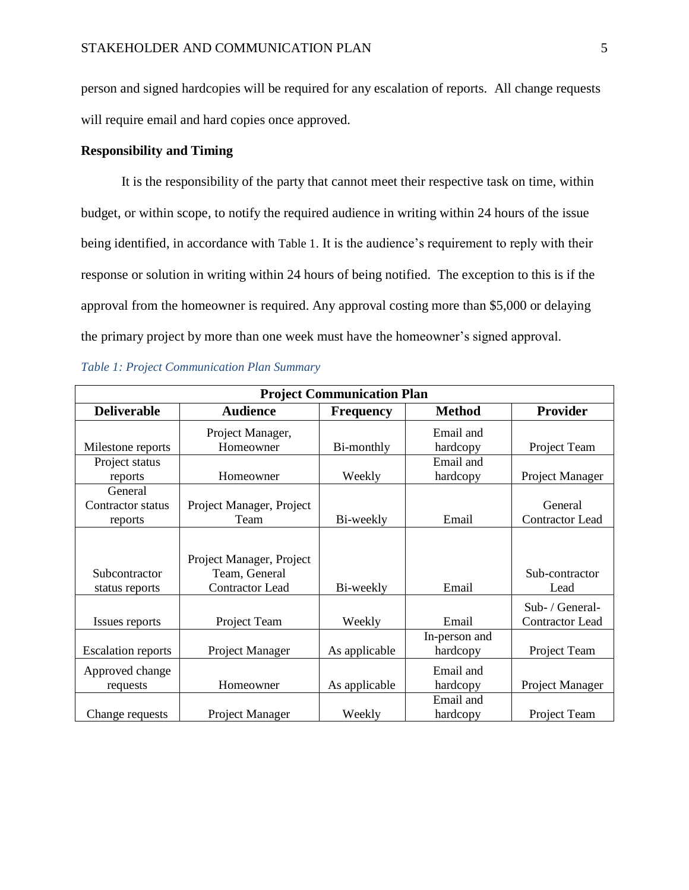person and signed hardcopies will be required for any escalation of reports. All change requests will require email and hard copies once approved.

# **Responsibility and Timing**

It is the responsibility of the party that cannot meet their respective task on time, within budget, or within scope, to notify the required audience in writing within 24 hours of the issue being identified, in accordance with [Table 1](#page-4-0). It is the audience's requirement to reply with their response or solution in writing within 24 hours of being notified. The exception to this is if the approval from the homeowner is required. Any approval costing more than \$5,000 or delaying the primary project by more than one week must have the homeowner's signed approval.

<span id="page-4-0"></span>

|  | Table 1: Project Communication Plan Summary |  |
|--|---------------------------------------------|--|
|  |                                             |  |

| <b>Project Communication Plan</b>       |                                                                     |                  |                           |                                           |  |
|-----------------------------------------|---------------------------------------------------------------------|------------------|---------------------------|-------------------------------------------|--|
| <b>Deliverable</b>                      | <b>Audience</b>                                                     | <b>Frequency</b> | <b>Method</b>             | <b>Provider</b>                           |  |
| Milestone reports                       | Project Manager,<br>Homeowner                                       | Bi-monthly       | Email and<br>hardcopy     | Project Team                              |  |
| Project status<br>reports               | Homeowner                                                           | Weekly           | Email and<br>hardcopy     | Project Manager                           |  |
| General<br>Contractor status<br>reports | Project Manager, Project<br>Team                                    | Bi-weekly        | Email                     | General<br><b>Contractor Lead</b>         |  |
| Subcontractor<br>status reports         | Project Manager, Project<br>Team, General<br><b>Contractor Lead</b> | Bi-weekly        | Email                     | Sub-contractor<br>Lead                    |  |
| Issues reports                          | Project Team                                                        | Weekly           | Email                     | Sub- / General-<br><b>Contractor Lead</b> |  |
| <b>Escalation reports</b>               | Project Manager                                                     | As applicable    | In-person and<br>hardcopy | Project Team                              |  |
| Approved change<br>requests             | Homeowner                                                           | As applicable    | Email and<br>hardcopy     | Project Manager                           |  |
| Change requests                         | Project Manager                                                     | Weekly           | Email and<br>hardcopy     | Project Team                              |  |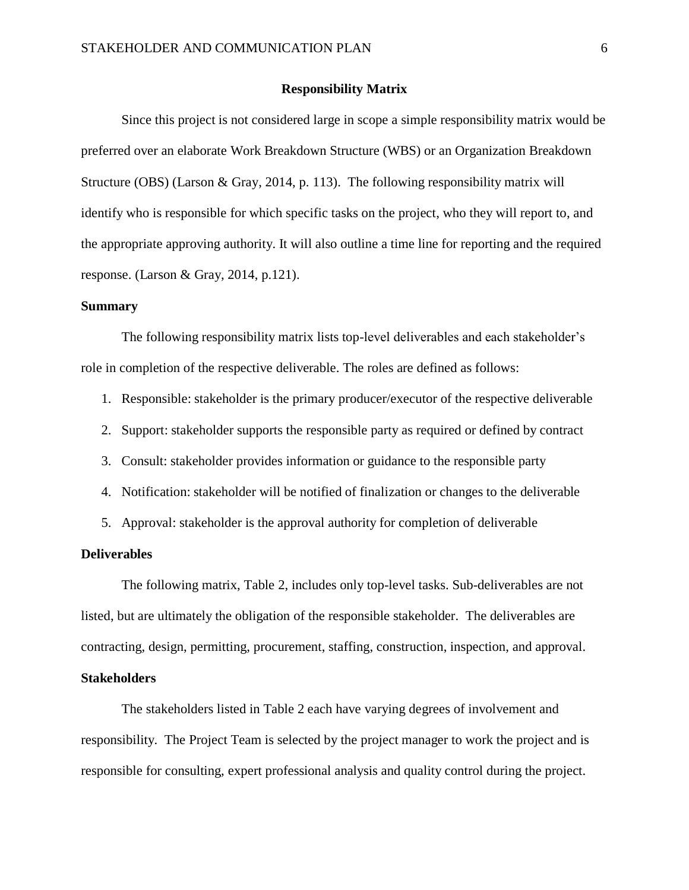### **Responsibility Matrix**

Since this project is not considered large in scope a simple responsibility matrix would be preferred over an elaborate Work Breakdown Structure (WBS) or an Organization Breakdown Structure (OBS) (Larson & Gray, 2014, p. 113). The following responsibility matrix will identify who is responsible for which specific tasks on the project, who they will report to, and the appropriate approving authority. It will also outline a time line for reporting and the required response. (Larson & Gray, 2014, p.121).

## **Summary**

The following responsibility matrix lists top-level deliverables and each stakeholder's role in completion of the respective deliverable. The roles are defined as follows:

- 1. Responsible: stakeholder is the primary producer/executor of the respective deliverable
- 2. Support: stakeholder supports the responsible party as required or defined by contract
- 3. Consult: stakeholder provides information or guidance to the responsible party
- 4. Notification: stakeholder will be notified of finalization or changes to the deliverable
- 5. Approval: stakeholder is the approval authority for completion of deliverable

### **Deliverables**

The following matrix, Table 2, includes only top-level tasks. Sub-deliverables are not listed, but are ultimately the obligation of the responsible stakeholder. The deliverables are contracting, design, permitting, procurement, staffing, construction, inspection, and approval.

### **Stakeholders**

The stakeholders listed in Table 2 each have varying degrees of involvement and responsibility. The Project Team is selected by the project manager to work the project and is responsible for consulting, expert professional analysis and quality control during the project.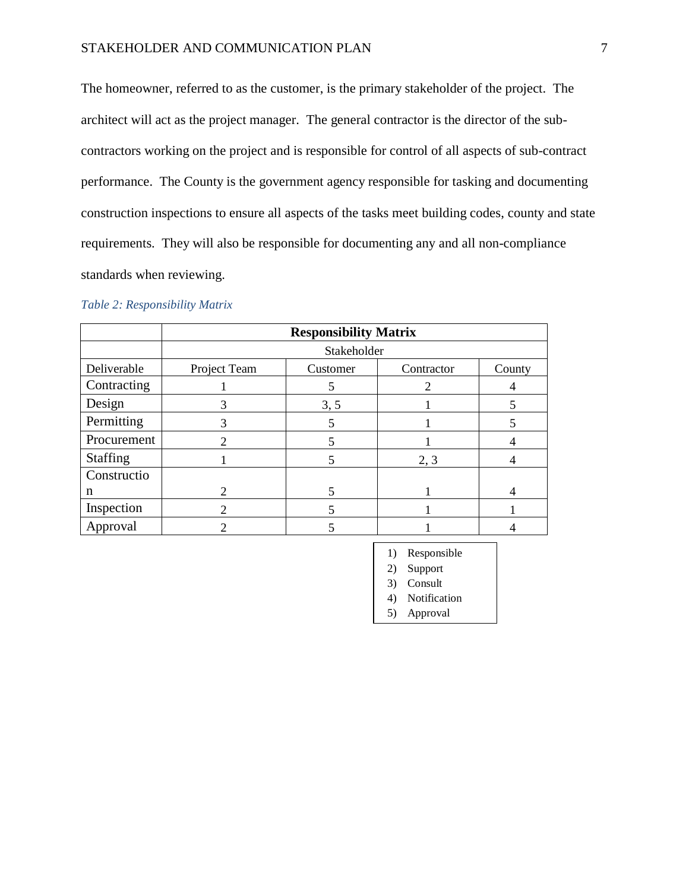The homeowner, referred to as the customer, is the primary stakeholder of the project. The architect will act as the project manager. The general contractor is the director of the subcontractors working on the project and is responsible for control of all aspects of sub-contract performance. The County is the government agency responsible for tasking and documenting construction inspections to ensure all aspects of the tasks meet building codes, county and state requirements. They will also be responsible for documenting any and all non-compliance standards when reviewing.

|  | Table 2: Responsibility Matrix |  |
|--|--------------------------------|--|
|  |                                |  |

|                 | <b>Responsibility Matrix</b> |          |            |        |  |
|-----------------|------------------------------|----------|------------|--------|--|
|                 | Stakeholder                  |          |            |        |  |
| Deliverable     | Project Team                 | Customer | Contractor | County |  |
| Contracting     |                              |          |            |        |  |
| Design          |                              | 3, 5     |            |        |  |
| Permitting      | 3                            |          |            |        |  |
| Procurement     | 2                            |          |            |        |  |
| <b>Staffing</b> |                              |          | 2, 3       |        |  |
| Constructio     |                              |          |            |        |  |
| n               | $\mathcal{D}_{\mathcal{L}}$  |          |            |        |  |
| Inspection      | $\mathcal{D}_{\mathcal{L}}$  |          |            |        |  |
| Approval        |                              |          |            |        |  |

- 1) Responsible
- 2) Support
- 3) Consult
- 4) Notification
- 
- 5) Approval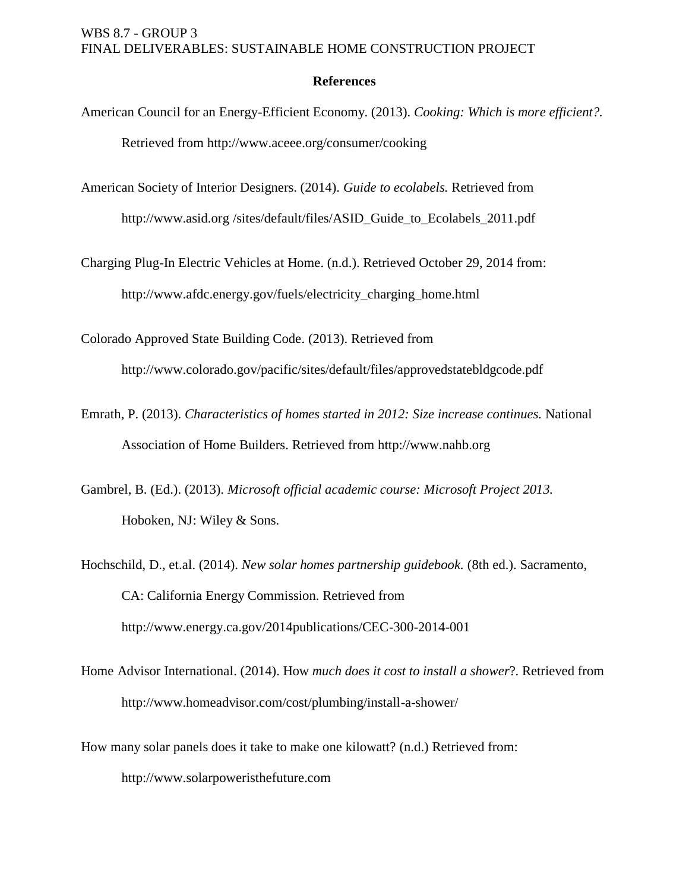# **References**

- American Council for an Energy-Efficient Economy. (2013). *Cooking: Which is more efficient?.* Retrieved from http://www.aceee.org/consumer/cooking
- American Society of Interior Designers. (2014). *Guide to ecolabels.* Retrieved from http://www.asid.org /sites/default/files/ASID\_Guide\_to\_Ecolabels\_2011.pdf

Charging Plug-In Electric Vehicles at Home. (n.d.). Retrieved October 29, 2014 from: http://www.afdc.energy.gov/fuels/electricity\_charging\_home.html

Colorado Approved State Building Code. (2013). Retrieved from

http:/[/www.colorado.gov/pacific/sites/default/files/approvedstatebldgcode.pdf](https://www.colorado.gov/pacific/sites/default/files/approvedstatebldgcode.pdf)

- Emrath, P. (2013). *Characteristics of homes started in 2012: Size increase continues.* National Association of Home Builders. Retrieved from http://www.nahb.org
- Gambrel, B. (Ed.). (2013). *Microsoft official academic course: Microsoft Project 2013.* Hoboken, NJ: Wiley & Sons.
- Hochschild, D., et.al. (2014). *New solar homes partnership guidebook.* (8th ed.). Sacramento, CA: California Energy Commission. Retrieved from http://www.energy.ca.gov/2014publications/CEC-300-2014-001
- Home Advisor International. (2014). How *much does it cost to install a shower*?. Retrieved from http://www.homeadvisor.com/cost/plumbing/install-a-shower/
- How many solar panels does it take to make one kilowatt? (n.d.) Retrieved from: http://www.solarpoweristhefuture.com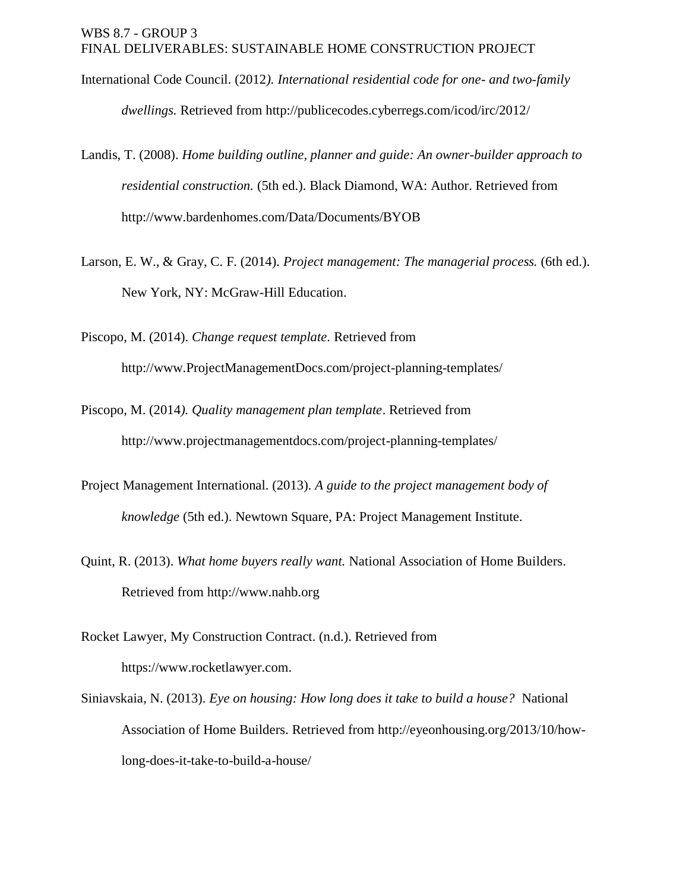- International Code Council. (2012*). International residential code for one- and two-family dwellings.* Retrieved from http:/[/publicecodes.cyberregs.com/icod/irc/2012/](http://publicecodes.cyberregs.com/icod/irc/2012/)
- Landis, T. (2008). *Home building outline, planner and guide: An owner-builder approach to residential construction.* (5th ed.). Black Diamond, WA: Author. Retrieved from http://www.bardenhomes.com/Data/Documents/BYOB
- Larson, E. W., & Gray, C. F. (2014). *Project management: The managerial process.* (6th ed.). New York, NY: McGraw-Hill Education.

Piscopo, M. (2014). *Change request template.* Retrieved from http://www.ProjectManagementDocs.com/project-planning-templates/

- Piscopo, M. (2014*). Quality management plan template*. Retrieved from http:/[/www.projectmanagementdocs.com/project-planning-templates/](http://www.projectmanagementdocs.com/project-planning-templates/quality-management-plan.html)
- Project Management International. (2013). *A guide to the project management body of knowledge* (5th ed.). Newtown Square, PA: Project Management Institute.
- Quint, R. (2013). *What home buyers really want.* National Association of Home Builders. Retrieved from http://www.nahb.org
- Rocket Lawyer, My Construction Contract. (n.d.). Retrieved from https://www.rocketlawyer.com.
- Siniavskaia, N. (2013). *Eye on housing: How long does it take to build a house?* National Association of Home Builders. Retrieved from http://eyeonhousing.org/2013/10/howlong-does-it-take-to-build-a-house/